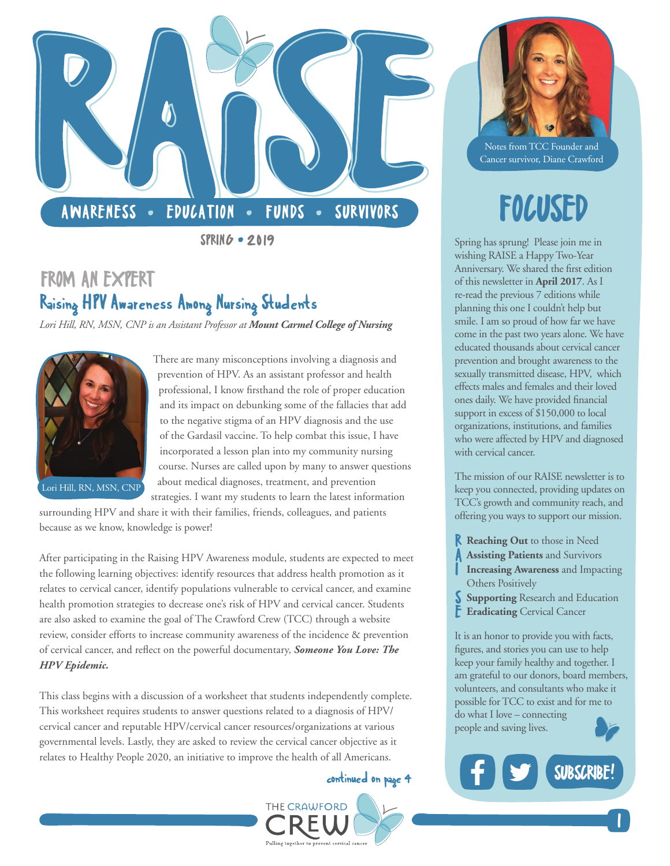

**SPRING . 2019** 

# FROM AN EXPERT Raising HPV Awareness Among Nursing Students

*Lori Hill, RN, MSN, CNP is an Assistant Professor at [Mount Carmel College of Nursing](https://www.mccn.edu/)*



There are many misconceptions involving a diagnosis and prevention of HPV. As an assistant professor and health professional, I know firsthand the role of proper education and its impact on debunking some of the fallacies that add to the negative stigma of an HPV diagnosis and the use of the Gardasil vaccine. To help combat this issue, I have incorporated a lesson plan into my community nursing course. Nurses are called upon by many to answer questions about medical diagnoses, treatment, and prevention strategies. I want my students to learn the latest information

Lori Hill, RN, MSN, CNP

surrounding HPV and share it with their families, friends, colleagues, and patients because as we know, knowledge is power!

After participating in the Raising HPV Awareness module, students are expected to meet the following learning objectives: identify resources that address health promotion as it relates to cervical cancer, identify populations vulnerable to cervical cancer, and examine health promotion strategies to decrease one's risk of HPV and cervical cancer. Students are also asked to examine the goal of The Crawford Crew (TCC) through a website review, consider efforts to increase community awareness of the incidence & prevention of cervical cancer, and reflect on the powerful documentary, *[Someone You Love: The](https://thecrawfordcrew.org/cervical-cancer-help/hpv-epidemic-video/)  [HPV Epidemic.](https://thecrawfordcrew.org/cervical-cancer-help/hpv-epidemic-video/)*

This class begins with a discussion of a worksheet that students independently complete. This worksheet requires students to answer questions related to a diagnosis of HPV/ cervical cancer and reputable HPV/cervical cancer resources/organizations at various governmental levels. Lastly, they are asked to review the cervical cancer objective as it relates to Healthy People 2020, an initiative to improve the health of all Americans.

[continued on page 4](#page-3-0)  $\left( \begin{array}{c} \bullet \\ \bullet \end{array} \right)$  [SUBSCRIBE!](https://thecrawfordcrew.org/contact-us/newsletter-signup/)





Notes from TCC Founder and Cancer survivor, Diane Crawford

# FOCUSED

Spring has sprung! Please join me in wishing RAISE a Happy Two-Year Anniversary. We shared the first edition of this newsletter in **[April 2017](https://thecrawfordcrew.org/wp-content/uploads/2019/03/14979-Crawford-Crew-newsletter-Spring2017.pdf)**. As I re-read the previous 7 editions while planning this one I couldn't help but smile. I am so proud of how far we have come in the past two years alone. We have educated thousands about cervical cancer prevention and brought awareness to the sexually transmitted disease, HPV, which effects males and females and their loved ones daily. We have provided financial support in excess of \$150,000 to local organizations, institutions, and families who were affected by HPV and diagnosed with cervical cancer.

The mission of our RAISE newsletter is to keep you connected, providing updates on TCC's growth and community reach, and offering you ways to support our mission.

- R **Reaching Out** to those in Need
- A **Assisting Patients** and Survivors
	- **Increasing Awareness** and Impacting Others Positively
- **Supporting** Research and Education
- E **Eradicating** Cervical Cancer

It is an honor to provide you with facts, figures, and stories you can use to help keep your family healthy and together. I am grateful to our donors, board members, volunteers, and consultants who make it possible for TCC to exist and for me to do what I love – connecting people and saving lives.

1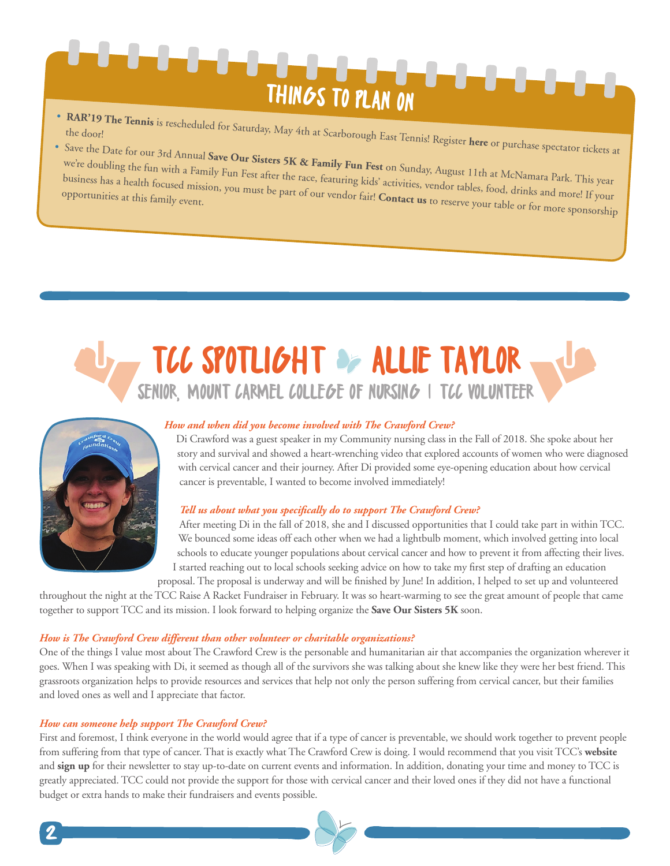# ta ka THINGS TO PLAN ON

• **[RAR'19 The Tennis](https://thecrawfordcrew.org/event/raise-a-racket/)** is rescheduled for Saturday, May 4th at Scarborough East Tennis! Register **[here](https://e.givesmart.com/events/cRU/)** or purchase spectator tickets at the door! •

 Save the Date for our 3rd Annual **Save Our Sisters 5K & Family Fun Fest** on Sunday, August 11th at McNamara Park. This year we're doubling the fun with a Fa[mily Fun Fest](https://thecrawfordcrew.org/5k/) [after](https://thecrawfordcrew.org/5k/) [the](https://thecrawfordcrew.org/5k/) [race](https://thecrawfordcrew.org/5k/), [f](https://thecrawfordcrew.org/5k/)eatur[i](https://thecrawfordcrew.org/5k/)ng [k](https://thecrawfordcrew.org/5k/)i[d](https://thecrawfordcrew.org/5k/)s' activities[,](mailto:info@thecrawfordcrew.org) vendor tables, food, drinks and more! If your business has a health focused mission, you must be part of our vendor fair! **Contact us** to reserve your table or for more sponsorship opportunities at this family event.

# TCC SPOTLIGHT OF ALLIE TAYLOR SENIOR, [MOUNT CARMEL COLLEGE OF NURSING |](https://www.mccn.edu/) TCC VOLUNTEER



### *How and when did you become involved with The Crawford Crew?*

Di Crawford was a guest speaker in my Community nursing class in the Fall of 2018. She spoke about her story and survival and showed a heart-wrenching video that explored accounts of women who were diagnosed with cervical cancer and their journey. After Di provided some eye-opening education about how cervical cancer is preventable, I wanted to become involved immediately!

### *Tell us about what you specifically do to support The Crawford Crew?*

After meeting Di in the fall of 2018, she and I discussed opportunities that I could take part in within TCC. We bounced some ideas off each other when we had a lightbulb moment, which involved getting into local schools to educate younger populations about cervical cancer and how to prevent it from affecting their lives. I started reaching out to local schools seeking advice on how to take my first step of drafting an education

proposal. The proposal is underway and will be finished by June! In addition, I helped to set up and volunteered

throughout the night at the TCC Raise A Racket Fundraiser in February. It was so heart-warming to see the great amount of people that came together to support TCC and its mission. I look forward to helping organize the **[Save Our Sisters 5K](https://thecrawfordcrew.org/5k/)** soon.

### *How is The Crawford Crew different than other volunteer or charitable organizations?*

One of the things I value most about The Crawford Crew is the personable and humanitarian air that accompanies the organization wherever it goes. When I was speaking with Di, it seemed as though all of the survivors she was talking about she knew like they were her best friend. This grassroots organization helps to provide resources and services that help not only the person suffering from cervical cancer, but their families and loved ones as well and I appreciate that factor.

### *How can someone help support The Crawford Crew?*

First and foremost, I think everyone in the world would agree that if a type of cancer is preventable, we should work together to prevent people from suffering from that type of cancer. That is exactly what The Crawford Crew is doing. I would recommend that you visit TCC's **[website](https://thecrawfordcrew.org/)**  and **[sign up](https://thecrawfordcrew.org/contact-us/newsletter-signup/)** for their newsletter to stay up-to-date on current events and information. In addition, donating your time and money to TCC is greatly appreciated. TCC could not provide the support for those with cervical cancer and their loved ones if they did not have a functional budget or extra hands to make their fundraisers and events possible.

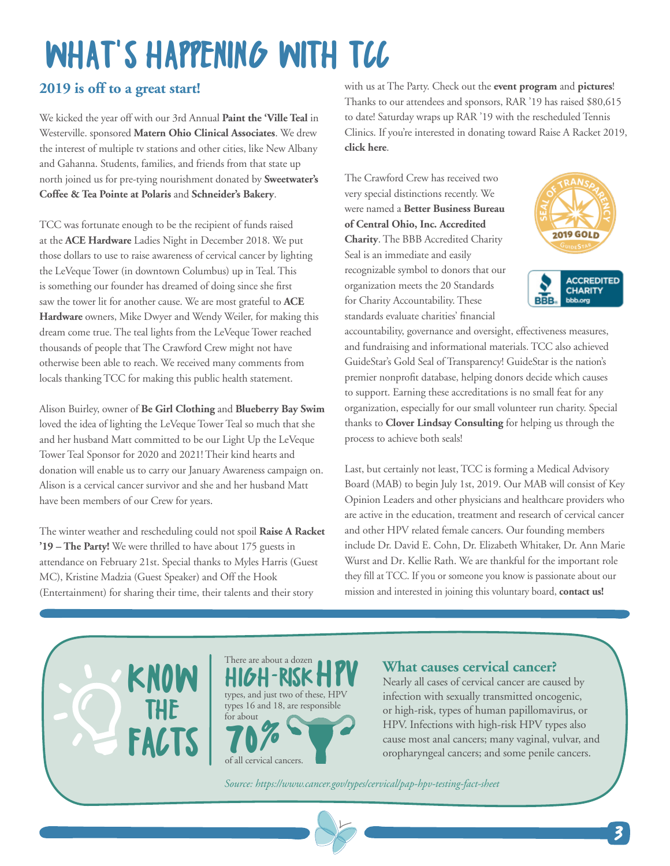# WHAT'S HAPPENING WITH TCC

# **2019 is off to a great start!**

We kicked the year off with our 3rd Annual **[Paint the 'Ville Teal](https://paintthevilleteal.org/)** in Westerville. sponsored **[Matern Ohio Clinical Associates](http://moca-obgyns.com/)**. We drew the interest of multiple tv stations and other cities, like New Albany and Gahanna. Students, families, and friends from that state up north joined us for pre-tying nourishment donated by **[Sweetwater's](https://www.sweetwaterscafe.com/oh-columbus-pointe-at-polaris/)  [Coffee & Tea Pointe at Polaris](https://www.sweetwaterscafe.com/oh-columbus-pointe-at-polaris/)** and **[Schneider's Bakery](http://www.schneiders-bakery.com/)**.

TCC was fortunate enough to be the recipient of funds raised at the **[ACE Hardware](https://www.acehardware.com/store-details/16415)** Ladies Night in December 2018. We put those dollars to use to raise awareness of cervical cancer by lighting the LeVeque Tower (in downtown Columbus) up in Teal. This is something our founder has dreamed of doing since she first saw the tower lit for another cause. We are most grateful to **[ACE](https://www.acehardware.com/store-details/16415)  [Hardware](https://www.acehardware.com/store-details/16415)** owners, Mike Dwyer and Wendy Weiler, for making this dream come true. The teal lights from the LeVeque Tower reached thousands of people that The Crawford Crew might not have otherwise been able to reach. We received many comments from locals thanking TCC for making this public health statement.

Alison Buirley, owner of **[Be Girl Clothing](https://www.begirlclothing.com/)** and **[Blueberry Bay Swim](https://blueberrybayswim.com/)** loved the idea of lighting the LeVeque Tower Teal so much that she and her husband Matt committed to be our Light Up the LeVeque Tower Teal Sponsor for 2020 and 2021! Their kind hearts and donation will enable us to carry our January Awareness campaign on. Alison is a cervical cancer survivor and she and her husband Matt have been members of our Crew for years.

The winter weather and rescheduling could not spoil **[Raise A Racket](https://thecrawfordcrew.org/event/raise-a-racket/)  ['19 – The Party!](https://thecrawfordcrew.org/event/raise-a-racket/)** We were thrilled to have about 175 guests in attendance on February 21st. Special thanks to Myles Harris (Guest MC), Kristine Madzia (Guest Speaker) and Off the Hook (Entertainment) for sharing their time, their talents and their story

**KNOW** 

THE

FACTS

with us at The Party. Check out the **[event program](https://thecrawfordcrew.org/programs/rar2019/index.html)** and **[pictures](https://www.flickr.com/photos/151170316@N07/sets/72157703651499872/page1)**! Thanks to our attendees and sponsors, RAR '19 has raised \$80,615 to date! Saturday wraps up RAR '19 with the rescheduled Tennis Clinics. If you're interested in donating toward Raise A Racket 2019, **[click here](https://www.paypal.me/TheCrawfordCrew)**.

The Crawford Crew has received two very special distinctions recently. We were named a **[Better Business Bureau](https://www.bbb.org/centralohio/Charity-Reviews/charity-local/the-crawford-crew-foundation-in-westerville-oh-70095416) [of Central Ohio, Inc. Accredited](https://www.bbb.org/centralohio/Charity-Reviews/charity-local/the-crawford-crew-foundation-in-westerville-oh-70095416) [Charity](https://www.bbb.org/centralohio/Charity-Reviews/charity-local/the-crawford-crew-foundation-in-westerville-oh-70095416)**. The BBB Accredited Charity Seal is an immediate and easily recognizable symbol to donors that our organization meets the 20 Standards for Charity Accountability. These standards evaluate charities' financial



accountability, governance and oversight, effectiveness measures, and fundraising and informational materials. TCC also achieved [GuideStar's G](https://www.guidestar.org/profile/46-1211526)old Seal of Transparency! GuideStar is the nation's premier nonprofit database, helping donors decide which causes to support. Earning these accreditations is no small feat for any organization, especially for our small volunteer run charity. Special thanks to **[Clover Lindsay Consulting](https://cloverlindsay.com/)** for helping us through the process to achieve both seals!

Last, but certainly not least, TCC is forming a Medical Advisory Board (MAB) to begin July 1st, 2019. Our MAB will consist of Key Opinion Leaders and other physicians and healthcare providers who are active in the education, treatment and research of cervical cancer and other HPV related female cancers. Our founding members include Dr. David E. Cohn, Dr. Elizabeth Whitaker, Dr. Ann Marie Wurst and Dr. Kellie Rath. We are thankful for the important role they fill at TCC. If you or someone you know is passionate about our mission and interested in joining this voluntary board, **[contact us!](mailto:info@thecrawfordcrew.org)**



## **What causes cervical cancer?**

Nearly all cases of cervical cancer are caused by infection with sexually transmitted oncogenic, or high-risk, types of human papillomavirus, or HPV. Infections with high-risk HPV types also cause most anal cancers; many vaginal, vulvar, and oropharyngeal cancers; and some penile cancers.

*[Source: https://www.cancer.gov/types/cervical/pap-hpv-testing-fact-sheet](https://www.cancer.gov/types/cervical/pap-hpv-testing-fact-sheet)*